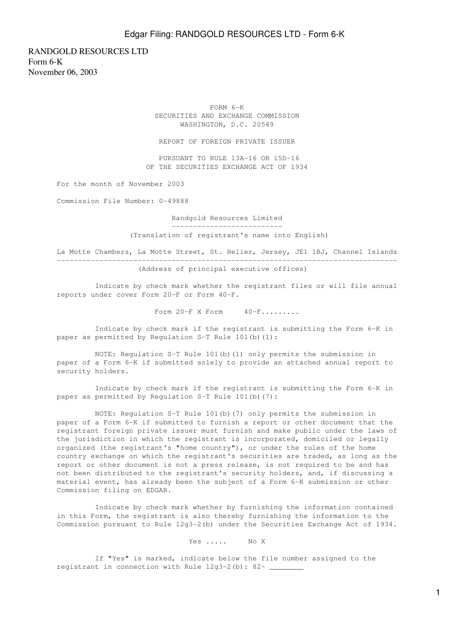RANDGOLD RESOURCES LTD Form 6-K November 06, 2003

> FORM 6-K SECURITIES AND EXCHANGE COMMISSION WASHINGTON, D.C. 20549

REPORT OF FOREIGN PRIVATE ISSUER

 PURSUANT TO RULE 13A-16 OR 15D-16 OF THE SECURITIES EXCHANGE ACT OF 1934

For the month of November 2003

Commission File Number: 0-49888

 Randgold Resources Limited --------------------------

(Translation of registrant's name into English)

La Motte Chambers, La Motte Street, St. Helier, Jersey, JE1 1BJ, Channel Islands -------------------------------------------------------------------------------- (Address of principal executive offices)

 Indicate by check mark whether the registrant files or will file annual reports under cover Form 20-F or Form 40-F.

Form  $20-F$  X Form  $40-F$ ........

 Indicate by check mark if the registrant is submitting the Form 6-K in paper as permitted by Regulation S-T Rule 101(b)(1):

 NOTE: Regulation S-T Rule 101(b)(1) only permits the submission in paper of a Form 6-K if submitted solely to provide an attached annual report to security holders.

 Indicate by check mark if the registrant is submitting the Form 6-K in paper as permitted by Regulation S-T Rule 101(b)(7):

 NOTE: Regulation S-T Rule 101(b)(7) only permits the submission in paper of a Form 6-K if submitted to furnish a report or other document that the registrant foreign private issuer must furnish and make public under the laws of the jurisdiction in which the registrant is incorporated, domiciled or legally organized (the registrant's "home country"), or under the rules of the home country exchange on which the registrant's securities are traded, as long as the report or other document is not a press release, is not required to be and has not been distributed to the registrant's security holders, and, if discussing a material event, has already been the subject of a Form 6-K submission or other Commission filing on EDGAR.

 Indicate by check mark whether by furnishing the information contained in this Form, the registrant is also thereby furnishing the information to the Commission pursuant to Rule 12g3-2(b) under the Securities Exchange Act of 1934.

Yes ..... No X

 If "Yes" is marked, indicate below the file number assigned to the registrant in connection with Rule 12g3-2(b): 82-